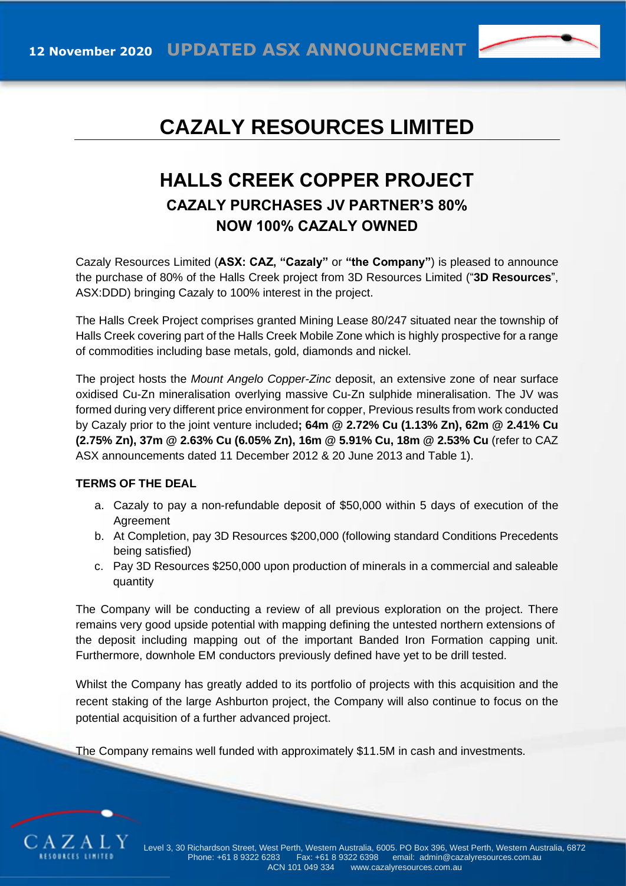

## **CAZALY RESOURCES LIMITED**

## **HALLS CREEK COPPER PROJECT CAZALY PURCHASES JV PARTNER'S 80% NOW 100% CAZALY OWNED**

Cazaly Resources Limited (**ASX: CAZ, "Cazaly"** or **"the Company"**) is pleased to announce the purchase of 80% of the Halls Creek project from 3D Resources Limited ("**3D Resources**", ASX:DDD) bringing Cazaly to 100% interest in the project.

The Halls Creek Project comprises granted Mining Lease 80/247 situated near the township of Halls Creek covering part of the Halls Creek Mobile Zone which is highly prospective for a range of commodities including base metals, gold, diamonds and nickel.

The project hosts the *Mount Angelo Copper-Zinc* deposit, an extensive zone of near surface oxidised Cu-Zn mineralisation overlying massive Cu-Zn sulphide mineralisation. The JV was formed during very different price environment for copper, Previous results from work conducted by Cazaly prior to the joint venture included**; 64m @ 2.72% Cu (1.13% Zn), 62m @ 2.41% Cu (2.75% Zn), 37m @ 2.63% Cu (6.05% Zn), 16m @ 5.91% Cu, 18m @ 2.53% Cu** (refer to CAZ ASX announcements dated 11 December 2012 & 20 June 2013 and Table 1).

## **TERMS OF THE DEAL**

- a. Cazaly to pay a non-refundable deposit of \$50,000 within 5 days of execution of the Agreement
- b. At Completion, pay 3D Resources \$200,000 (following standard Conditions Precedents being satisfied)
- c. Pay 3D Resources \$250,000 upon production of minerals in a commercial and saleable quantity

The Company will be conducting a review of all previous exploration on the project. There remains very good upside potential with mapping defining the untested northern extensions of the deposit including mapping out of the important Banded Iron Formation capping unit. Furthermore, downhole EM conductors previously defined have yet to be drill tested.

Whilst the Company has greatly added to its portfolio of projects with this acquisition and the recent staking of the large Ashburton project, the Company will also continue to focus on the potential acquisition of a further advanced project.

The Company remains well funded with approximately \$11.5M in cash and investments.

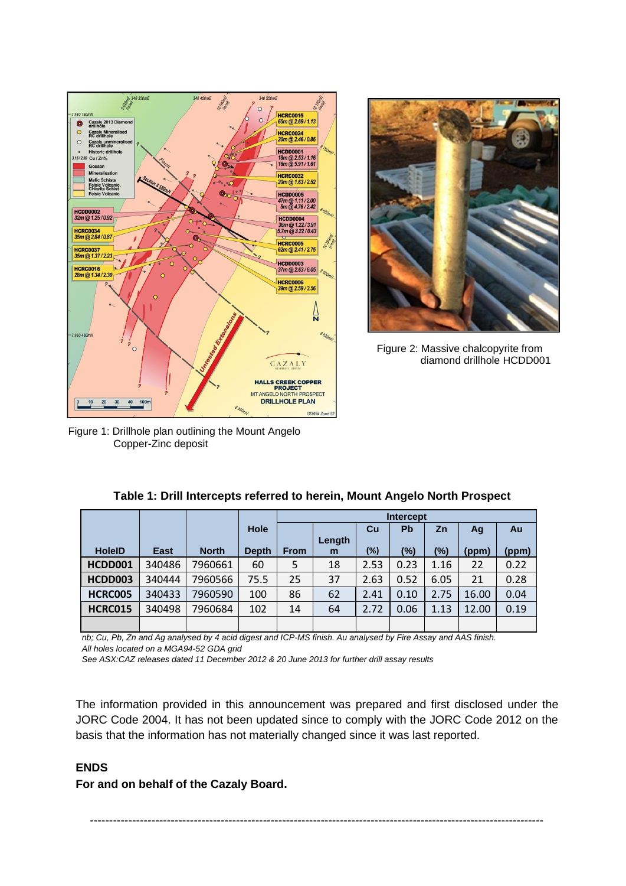



Figure 2: Massive chalcopyrite from diamond drillhole HCDD001

Figure 1: Drillhole plan outlining the Mount Angelo Copper-Zinc deposit

|               |        |              |              | <b>Intercept</b> |        |        |           |      |       |       |
|---------------|--------|--------------|--------------|------------------|--------|--------|-----------|------|-------|-------|
|               |        |              | Hole         |                  | Length | Cu     | <b>Pb</b> | Zn   | Ag    | Au    |
| <b>HoleID</b> | East   | <b>North</b> | <b>Depth</b> | <b>From</b>      | m      | $(\%)$ | (%)       | (%)  | (ppm) | (ppm) |
| HCDD001       | 340486 | 7960661      | 60           | 5                | 18     | 2.53   | 0.23      | 1.16 | 22    | 0.22  |
| HCDD003       | 340444 | 7960566      | 75.5         | 25               | 37     | 2.63   | 0.52      | 6.05 | 21    | 0.28  |
| HCRC005       | 340433 | 7960590      | 100          | 86               | 62     | 2.41   | 0.10      | 2.75 | 16.00 | 0.04  |
| HCRC015       | 340498 | 7960684      | 102          | 14               | 64     | 2.72   | 0.06      | 1.13 | 12.00 | 0.19  |
|               |        |              |              |                  |        |        |           |      |       |       |

|  | Table 1: Drill Intercepts referred to herein, Mount Angelo North Prospect |  |  |  |
|--|---------------------------------------------------------------------------|--|--|--|
|  |                                                                           |  |  |  |

*nb; Cu, Pb, Zn and Ag analysed by 4 acid digest and ICP-MS finish. Au analysed by Fire Assay and AAS finish. All holes located on a MGA94-52 GDA grid*

*See ASX:CAZ releases dated 11 December 2012 & 20 June 2013 for further drill assay results*

The information provided in this announcement was prepared and first disclosed under the JORC Code 2004. It has not been updated since to comply with the JORC Code 2012 on the basis that the information has not materially changed since it was last reported.

## **ENDS**

**For and on behalf of the Cazaly Board.**

----------------------------------------------------------------------------------------------------------------------